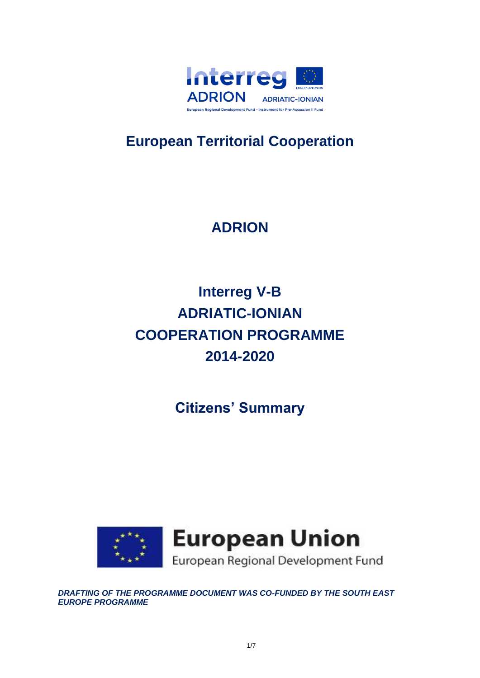

## **European Territorial Cooperation**

# **ADRION**

# **Interreg V-B ADRIATIC-IONIAN COOPERATION PROGRAMME 2014-2020**

**Citizens' Summary** 



*DRAFTING OF THE PROGRAMME DOCUMENT WAS CO-FUNDED BY THE SOUTH EAST EUROPE PROGRAMME*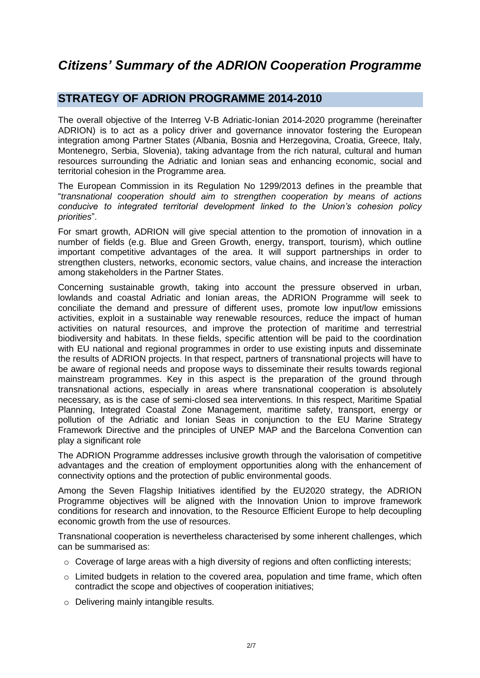## *Citizens' Summary of the ADRION Cooperation Programme*

### **STRATEGY OF ADRION PROGRAMME 2014-2010**

The overall objective of the Interreg V-B Adriatic-Ionian 2014-2020 programme (hereinafter ADRION) is to act as a policy driver and governance innovator fostering the European integration among Partner States (Albania, Bosnia and Herzegovina, Croatia, Greece, Italy, Montenegro, Serbia, Slovenia), taking advantage from the rich natural, cultural and human resources surrounding the Adriatic and Ionian seas and enhancing economic, social and territorial cohesion in the Programme area.

The European Commission in its Regulation No 1299/2013 defines in the preamble that "*transnational cooperation should aim to strengthen cooperation by means of actions conducive to integrated territorial development linked to the Union's cohesion policy priorities*".

For smart growth, ADRION will give special attention to the promotion of innovation in a number of fields (e.g. Blue and Green Growth, energy, transport, tourism), which outline important competitive advantages of the area. It will support partnerships in order to strengthen clusters, networks, economic sectors, value chains, and increase the interaction among stakeholders in the Partner States.

Concerning sustainable growth, taking into account the pressure observed in urban, lowlands and coastal Adriatic and Ionian areas, the ADRION Programme will seek to conciliate the demand and pressure of different uses, promote low input/low emissions activities, exploit in a sustainable way renewable resources, reduce the impact of human activities on natural resources, and improve the protection of maritime and terrestrial biodiversity and habitats. In these fields, specific attention will be paid to the coordination with EU national and regional programmes in order to use existing inputs and disseminate the results of ADRION projects. In that respect, partners of transnational projects will have to be aware of regional needs and propose ways to disseminate their results towards regional mainstream programmes. Key in this aspect is the preparation of the ground through transnational actions, especially in areas where transnational cooperation is absolutely necessary, as is the case of semi-closed sea interventions. In this respect, Maritime Spatial Planning, Integrated Coastal Zone Management, maritime safety, transport, energy or pollution of the Adriatic and Ionian Seas in conjunction to the EU Marine Strategy Framework Directive and the principles of UNEP MAP and the Barcelona Convention can play a significant role

The ADRION Programme addresses inclusive growth through the valorisation of competitive advantages and the creation of employment opportunities along with the enhancement of connectivity options and the protection of public environmental goods.

Among the Seven Flagship Initiatives identified by the EU2020 strategy, the ADRION Programme objectives will be aligned with the Innovation Union to improve framework conditions for research and innovation, to the Resource Efficient Europe to help decoupling economic growth from the use of resources.

Transnational cooperation is nevertheless characterised by some inherent challenges, which can be summarised as:

- $\circ$  Coverage of large areas with a high diversity of regions and often conflicting interests;
- o Limited budgets in relation to the covered area, population and time frame, which often contradict the scope and objectives of cooperation initiatives;
- o Delivering mainly intangible results.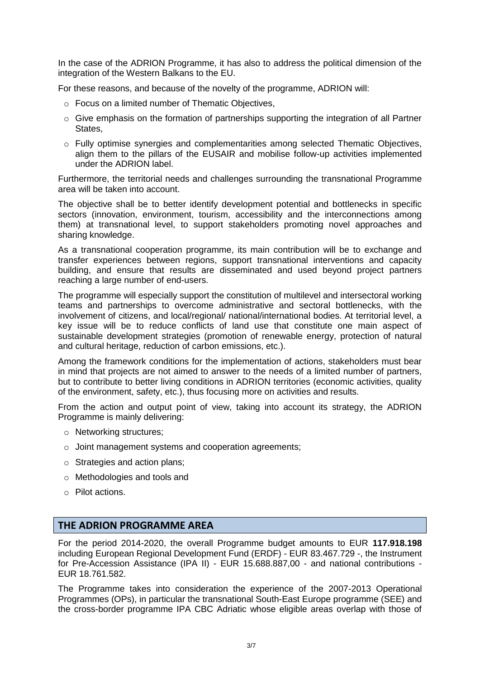In the case of the ADRION Programme, it has also to address the political dimension of the integration of the Western Balkans to the EU.

For these reasons, and because of the novelty of the programme, ADRION will:

- o Focus on a limited number of Thematic Objectives,
- o Give emphasis on the formation of partnerships supporting the integration of all Partner States,
- o Fully optimise synergies and complementarities among selected Thematic Objectives, align them to the pillars of the EUSAIR and mobilise follow-up activities implemented under the ADRION label.

Furthermore, the territorial needs and challenges surrounding the transnational Programme area will be taken into account.

The objective shall be to better identify development potential and bottlenecks in specific sectors (innovation, environment, tourism, accessibility and the interconnections among them) at transnational level, to support stakeholders promoting novel approaches and sharing knowledge.

As a transnational cooperation programme, its main contribution will be to exchange and transfer experiences between regions, support transnational interventions and capacity building, and ensure that results are disseminated and used beyond project partners reaching a large number of end-users.

The programme will especially support the constitution of multilevel and intersectoral working teams and partnerships to overcome administrative and sectoral bottlenecks, with the involvement of citizens, and local/regional/ national/international bodies. At territorial level, a key issue will be to reduce conflicts of land use that constitute one main aspect of sustainable development strategies (promotion of renewable energy, protection of natural and cultural heritage, reduction of carbon emissions, etc.).

Among the framework conditions for the implementation of actions, stakeholders must bear in mind that projects are not aimed to answer to the needs of a limited number of partners, but to contribute to better living conditions in ADRION territories (economic activities, quality of the environment, safety, etc.), thus focusing more on activities and results.

From the action and output point of view, taking into account its strategy, the ADRION Programme is mainly delivering:

- o Networking structures;
- o Joint management systems and cooperation agreements;
- o Strategies and action plans;
- o Methodologies and tools and
- o Pilot actions.

#### **THE ADRION PROGRAMME AREA**

For the period 2014-2020, the overall Programme budget amounts to EUR **117.918.198** including European Regional Development Fund (ERDF) - EUR 83.467.729 -, the Instrument for Pre-Accession Assistance (IPA II) - EUR 15.688.887,00 - and national contributions - EUR 18.761.582.

The Programme takes into consideration the experience of the 2007-2013 Operational Programmes (OPs), in particular the transnational South-East Europe programme (SEE) and the cross-border programme IPA CBC Adriatic whose eligible areas overlap with those of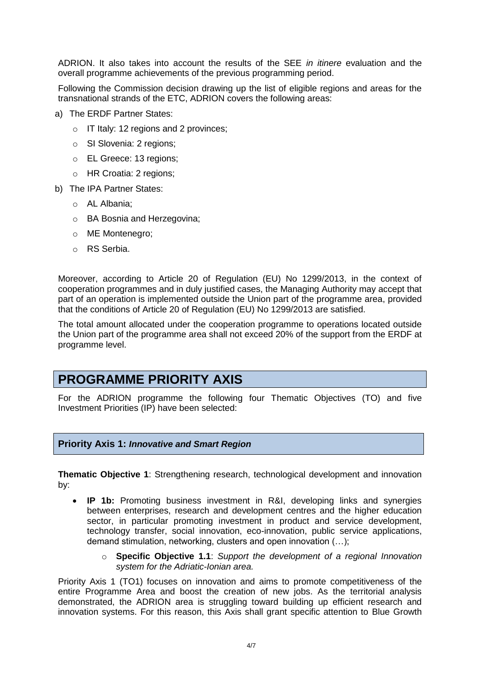ADRION. It also takes into account the results of the SEE *in itinere* evaluation and the overall programme achievements of the previous programming period.

Following the Commission decision drawing up the list of eligible regions and areas for the transnational strands of the ETC, ADRION covers the following areas:

- a) The ERDF Partner States:
	- o IT Italy: 12 regions and 2 provinces;
	- o SI Slovenia: 2 regions;
	- o EL Greece: 13 regions;
	- o HR Croatia: 2 regions;
- b) The IPA Partner States:
	- o AL Albania;
	- o BA Bosnia and Herzegovina;
	- o ME Montenegro;
	- o RS Serbia.

Moreover, according to Article 20 of Regulation (EU) No 1299/2013, in the context of cooperation programmes and in duly justified cases, the Managing Authority may accept that part of an operation is implemented outside the Union part of the programme area, provided that the conditions of Article 20 of Regulation (EU) No 1299/2013 are satisfied.

The total amount allocated under the cooperation programme to operations located outside the Union part of the programme area shall not exceed 20% of the support from the ERDF at programme level.

## **PROGRAMME PRIORITY AXIS**

For the ADRION programme the following four Thematic Objectives (TO) and five Investment Priorities (IP) have been selected:

#### **Priority Axis 1:** *Innovative and Smart Region*

**Thematic Objective 1**: Strengthening research, technological development and innovation by:

- **IP 1b:** Promoting business investment in R&I, developing links and synergies between enterprises, research and development centres and the higher education sector, in particular promoting investment in product and service development, technology transfer, social innovation, eco-innovation, public service applications, demand stimulation, networking, clusters and open innovation (…);
	- o **Specific Objective 1.1**: *Support the development of a regional Innovation system for the Adriatic-Ionian area.*

Priority Axis 1 (TO1) focuses on innovation and aims to promote competitiveness of the entire Programme Area and boost the creation of new jobs. As the territorial analysis demonstrated, the ADRION area is struggling toward building up efficient research and innovation systems. For this reason, this Axis shall grant specific attention to Blue Growth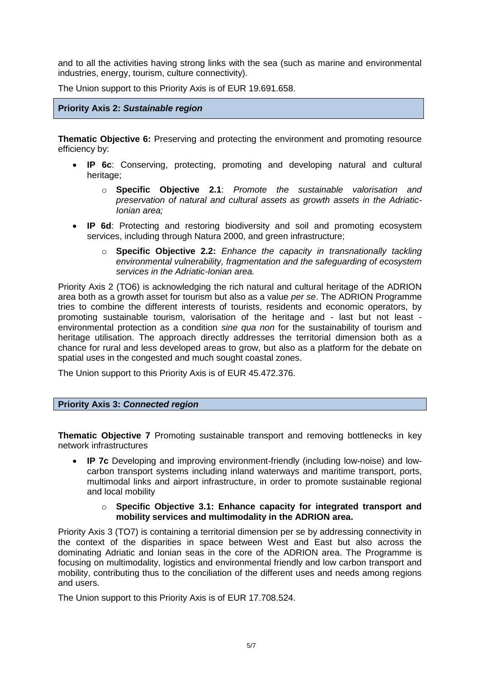and to all the activities having strong links with the sea (such as marine and environmental industries, energy, tourism, culture connectivity).

The Union support to this Priority Axis is of EUR 19.691.658.

#### **Priority Axis 2:** *Sustainable region*

**Thematic Objective 6:** Preserving and protecting the environment and promoting resource efficiency by:

- **IP 6c**: Conserving, protecting, promoting and developing natural and cultural heritage;
	- o **Specific Objective 2.1**: *Promote the sustainable valorisation and preservation of natural and cultural assets as growth assets in the Adriatic-Ionian area;*
- **IP 6d**: Protecting and restoring biodiversity and soil and promoting ecosystem services, including through Natura 2000, and green infrastructure;
	- o **Specific Objective 2.2:** *Enhance the capacity in transnationally tackling environmental vulnerability, fragmentation and the safeguarding of ecosystem services in the Adriatic-Ionian area.*

Priority Axis 2 (TO6) is acknowledging the rich natural and cultural heritage of the ADRION area both as a growth asset for tourism but also as a value *per se*. The ADRION Programme tries to combine the different interests of tourists, residents and economic operators, by promoting sustainable tourism, valorisation of the heritage and - last but not least environmental protection as a condition *sine qua non* for the sustainability of tourism and heritage utilisation. The approach directly addresses the territorial dimension both as a chance for rural and less developed areas to grow, but also as a platform for the debate on spatial uses in the congested and much sought coastal zones.

The Union support to this Priority Axis is of EUR 45.472.376.

#### **Priority Axis 3:** *Connected region*

**Thematic Objective 7** Promoting sustainable transport and removing bottlenecks in key network infrastructures

 **IP 7c** Developing and improving environment-friendly (including low-noise) and lowcarbon transport systems including inland waterways and maritime transport, ports, multimodal links and airport infrastructure, in order to promote sustainable regional and local mobility

#### o **Specific Objective 3.1: Enhance capacity for integrated transport and mobility services and multimodality in the ADRION area.**

Priority Axis 3 (TO7) is containing a territorial dimension per se by addressing connectivity in the context of the disparities in space between West and East but also across the dominating Adriatic and Ionian seas in the core of the ADRION area. The Programme is focusing on multimodality, logistics and environmental friendly and low carbon transport and mobility, contributing thus to the conciliation of the different uses and needs among regions and users.

The Union support to this Priority Axis is of EUR 17.708.524.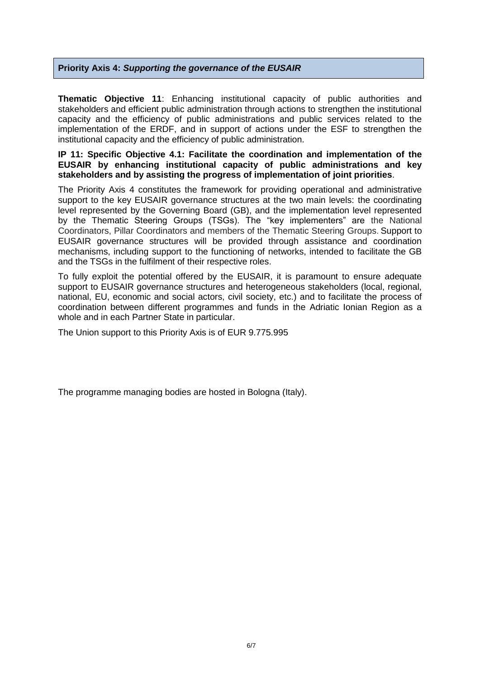#### **Priority Axis 4:** *Supporting the governance of the EUSAIR*

**Thematic Objective 11**: Enhancing institutional capacity of public authorities and stakeholders and efficient public administration through actions to strengthen the institutional capacity and the efficiency of public administrations and public services related to the implementation of the ERDF, and in support of actions under the ESF to strengthen the institutional capacity and the efficiency of public administration.

#### **IP 11: Specific Objective 4.1: Facilitate the coordination and implementation of the EUSAIR by enhancing institutional capacity of public administrations and key stakeholders and by assisting the progress of implementation of joint priorities**.

The Priority Axis 4 constitutes the framework for providing operational and administrative support to the key EUSAIR governance structures at the two main levels: the coordinating level represented by the Governing Board (GB), and the implementation level represented by the Thematic Steering Groups (TSGs). The "key implementers" are the National Coordinators, Pillar Coordinators and members of the Thematic Steering Groups. Support to EUSAIR governance structures will be provided through assistance and coordination mechanisms, including support to the functioning of networks, intended to facilitate the GB and the TSGs in the fulfilment of their respective roles.

To fully exploit the potential offered by the EUSAIR, it is paramount to ensure adequate support to EUSAIR governance structures and heterogeneous stakeholders (local, regional, national, EU, economic and social actors, civil society, etc.) and to facilitate the process of coordination between different programmes and funds in the Adriatic Ionian Region as a whole and in each Partner State in particular.

The Union support to this Priority Axis is of EUR 9.775.995

The programme managing bodies are hosted in Bologna (Italy).